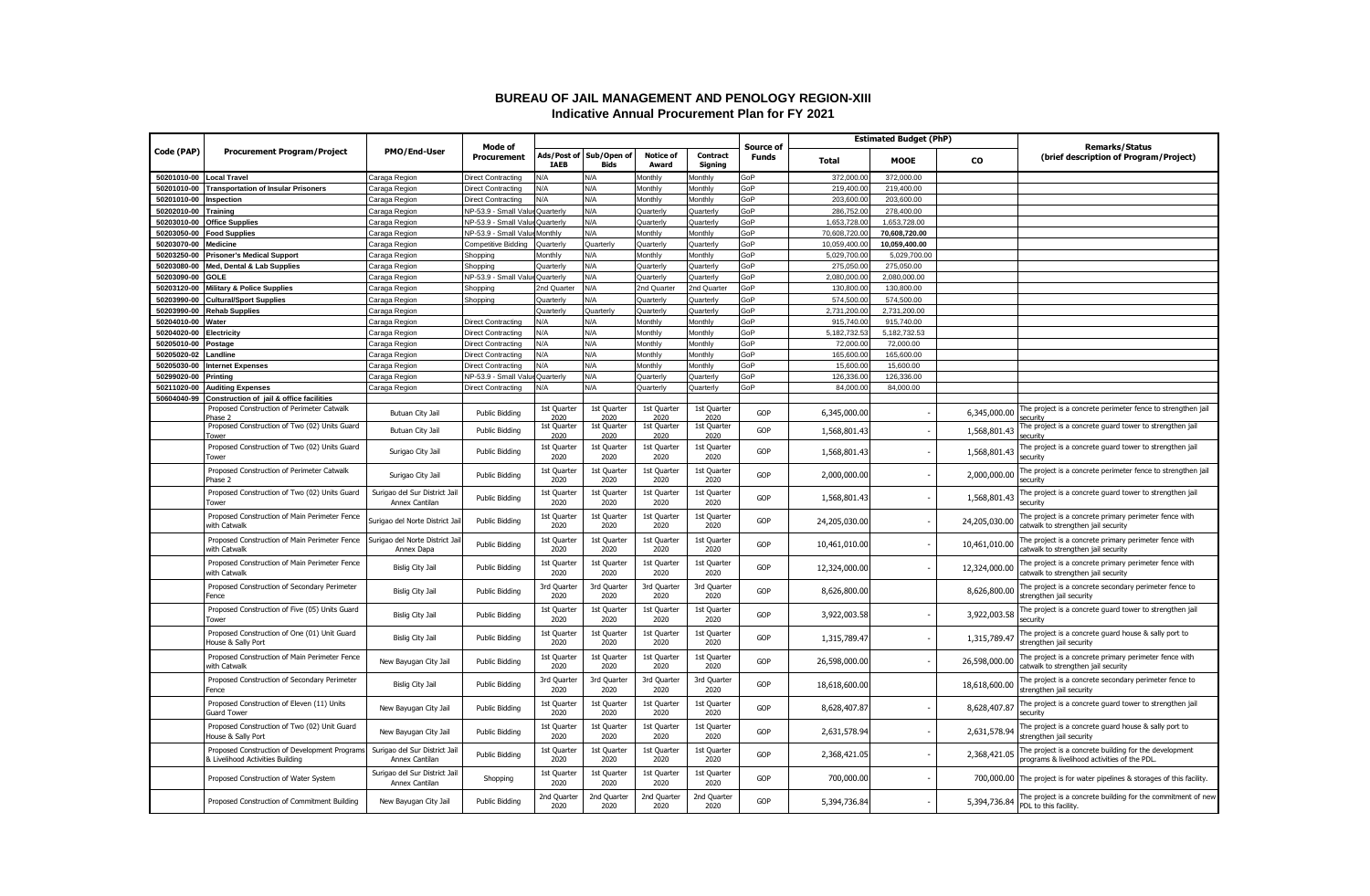## **BUREAU OF JAIL MANAGEMENT AND PENOLOGY REGION-XIII Indicative Annual Procurement Plan for FY 2021**

|                          | <b>Procurement Program/Project</b>                                                               | PMO/End-User                                    | Mode of<br>Procurement    |                     |                                        |                           |                     | <b>Source of</b> | <b>Estimated Budget (PhP)</b> |               |               | <b>Remarks/Status</b>                                                                                 |
|--------------------------|--------------------------------------------------------------------------------------------------|-------------------------------------------------|---------------------------|---------------------|----------------------------------------|---------------------------|---------------------|------------------|-------------------------------|---------------|---------------|-------------------------------------------------------------------------------------------------------|
| Code (PAP)               |                                                                                                  |                                                 |                           | <b>TAEB</b>         | Ads/Post of Sub/Open of<br><b>Bids</b> | <b>Notice of</b><br>Award | Contract<br>Signing | Funds            | Total                         | <b>MOOE</b>   | CO            | (brief description of Program/Project)                                                                |
| 50201010-00 Local Travel |                                                                                                  | Caraga Region                                   | <b>Direct Contracting</b> | N/A                 | N/A                                    | Monthly                   | Monthly             | GoP              | 372,000.0                     | 372,000.00    |               |                                                                                                       |
|                          | 50201010-00 Transportation of Insular Prisoners                                                  | Caraga Region                                   | Direct Contracting        | <b>V/A</b>          | ۷A                                     | Monthly                   | Monthly             | GoP              | 219,400.00                    | 219,400.00    |               |                                                                                                       |
| 50201010-00              | Inspection                                                                                       | Caraga Region                                   | Direct Contracting        | <b>A/A</b>          | N/A                                    | Monthly                   | Monthly             | GoP              | 203,600.00                    | 203,600.00    |               |                                                                                                       |
| 50202010-00 Training     |                                                                                                  | Caraga Region                                   | NP-53.9 - Small Value     | Quarterly           | N/A                                    | Quarterly                 | Quarterly           | GoP              | 286,752.00                    | 278,400.00    |               |                                                                                                       |
| 50203010-00              | <b>Office Supplies</b>                                                                           | Caraga Region                                   | NP-53.9 - Small Valu      | Quarterly           | N/A                                    | Quarterly                 | Quarterly           | GoP              | 1,653,728.00                  | 1,653,728.00  |               |                                                                                                       |
| 50203050-00              | <b>Food Supplies</b>                                                                             | Caraga Region                                   | VP-53.9 - Small Value     | <b>Monthly</b>      | l/A                                    | Monthly                   | Monthly             | GoP              | 70,608,720.00                 | 70,608,720.00 |               |                                                                                                       |
| 50203070-00              | <b>Medicine</b>                                                                                  | Caraga Region                                   | Competitive Bidding       | Quarterly           | Quarterly                              | Quarterly                 | Quarterly           | GoP              | 10.059.400.00                 | 10,059,400.00 |               |                                                                                                       |
| 50203250-00              | <b>Prisoner's Medical Support</b>                                                                | Caraga Region                                   | Shopping                  | Monthly             | N/A                                    | Monthly                   | Monthly             | GoP              | 5,029,700.00                  | 5,029,700.00  |               |                                                                                                       |
| 50203080-00              | Med, Dental & Lab Supplies                                                                       | Caraga Region                                   | Shopping                  | Quarterly           | N/A                                    | Quarterly                 | Quarterly           | GoP              | 275,050.00                    | 275,050.00    |               |                                                                                                       |
| 50203090-00              | <b>GOLE</b>                                                                                      | Caraga Region                                   | NP-53.9 - Small Valu      | <b>Quarterly</b>    | N/A                                    | Quarterly                 | Quarterly           | GoP              | 2,080,000.00                  | 2,080,000.00  |               |                                                                                                       |
|                          | 50203120-00 Military & Police Supplies                                                           | Caraga Region                                   | Shopping                  | Ind Quarter         | ۷A                                     | 2nd Quarter               | 2nd Quarter         | GoP              | 130,800.00                    | 130,800.00    |               |                                                                                                       |
| 50203990-00              | <b>Cultural/Sport Supplies</b>                                                                   | Caraga Region                                   | Shopping                  | Quarterly           | <b>AVA</b>                             | Quarterly                 | Quarterly           | GoP              | 574,500.0                     | 574,500.00    |               |                                                                                                       |
| 50203990-00              | <b>Rehab Supplies</b>                                                                            | Caraga Region                                   |                           | Quarterly           | Quarterly                              | Quarterly                 | Quarterly           | GoP              | 2.731.200.00                  | 2.731.200.00  |               |                                                                                                       |
| 50204010-00              | Water                                                                                            |                                                 | Direct Contracting        | ۷A                  | N/A                                    | Monthly                   | Monthly             | GoP              | 915,740.00                    | 915,740.00    |               |                                                                                                       |
|                          |                                                                                                  | Caraga Region                                   |                           | <b>VA</b>           | <b>V/A</b>                             |                           |                     | GoP              |                               |               |               |                                                                                                       |
| 50204020-00              | <b>Electricity</b>                                                                               | Caraga Region                                   | Virect Contracting        |                     |                                        | Monthly                   | Monthly             |                  | 5,182,732.5                   | 5,182,732.53  |               |                                                                                                       |
| 50205010-00              | Postage                                                                                          | Caraga Region                                   | Direct Contracting        | N/A                 | N/A                                    | Monthly                   | Monthly             | GoP              | 72,000.00                     | 72,000.00     |               |                                                                                                       |
| 50205020-02              | .andline                                                                                         | Caraga Region                                   | Direct Contractino        | N/A                 | N/A                                    | Monthly                   | Monthly             | GoP              | 165,600.0                     | 165,600.00    |               |                                                                                                       |
|                          | 50205030-00 Internet Expenses                                                                    | Caraga Region                                   | Direct Contracting        | N/A                 | N/A                                    | Monthly                   | Monthly             | GoP              | 15,600.00                     | 15,600.00     |               |                                                                                                       |
| 50299020-00              | Printing                                                                                         | Caraga Region                                   | NP-53.9 - Small Va        | Quarterly           | N/A                                    | Quarterly                 | Quarterly           | GoP              | 126,336.00                    | 126,336.00    |               |                                                                                                       |
| 50211020-00              | <b>Auditing Expenses</b>                                                                         | Caraga Region                                   | Direct Contracting        | <b>J/A</b>          | N/A                                    | Quarterly                 | Quarterly           | GoP              | 84,000,00                     | 84,000.00     |               |                                                                                                       |
| 50604040-99              | Construction of jail & office facilities<br>Proposed Construction of Perimeter Catwalk<br>hase 2 | Butuan City Jail                                | <b>Public Bidding</b>     | 1st Quarter<br>2020 | 1st Ouarter<br>2020                    | 1st Quarter<br>2020       | 1st Quarter<br>2020 | GOP              | 6,345,000.00                  |               | 6,345,000.00  | The project is a concrete perimeter fence to strengthen jail                                          |
|                          | Proposed Construction of Two (02) Units Guard<br>iower                                           | Butuan City Jail                                | <b>Public Bidding</b>     | 1st Quarter<br>2020 | 1st Quarter<br>2020                    | 1st Quarter<br>2020       | 1st Quarter<br>2020 | GOP              | 1,568,801.43                  |               | 1,568,801.43  | The project is a concrete guard tower to strengthen jail<br>ecurity                                   |
|                          | Proposed Construction of Two (02) Units Guard<br>Tower                                           | Surigao City Jail                               | <b>Public Bidding</b>     | 1st Quarter<br>2020 | 1st Quarter<br>2020                    | 1st Quarter<br>2020       | 1st Quarter<br>2020 | GOP              | 1,568,801.43                  |               | 1,568,801.43  | The project is a concrete guard tower to strengthen jail<br>security                                  |
|                          | Proposed Construction of Perimeter Catwalk<br>Phase 2                                            | Surigao City Jail                               | <b>Public Bidding</b>     | 1st Quarter<br>2020 | 1st Quarter<br>2020                    | 1st Quarter<br>2020       | 1st Quarter<br>2020 | GOP              | 2,000,000.00                  |               | 2,000,000.00  | The project is a concrete perimeter fence to strengthen jail<br>security                              |
|                          | Proposed Construction of Two (02) Units Guard<br>Tower                                           | Surigao del Sur District Jail<br>Annex Cantilan | <b>Public Bidding</b>     | 1st Quarter<br>2020 | 1st Quarter<br>2020                    | 1st Quarter<br>2020       | 1st Quarter<br>2020 | GOP              | 1,568,801.43                  |               | 1,568,801.43  | The project is a concrete guard tower to strengthen jail<br>securitv                                  |
|                          | Proposed Construction of Main Perimeter Fence<br>with Catwalk                                    | Surigao del Norte District Jail                 | <b>Public Bidding</b>     | 1st Quarter<br>2020 | 1st Quarter<br>2020                    | 1st Quarter<br>2020       | 1st Quarter<br>2020 | GOP              | 24,205,030.00                 |               | 24,205,030.00 | The project is a concrete primary perimeter fence with<br>catwalk to strengthen jail security         |
|                          | Proposed Construction of Main Perimeter Fence<br>with Catwalk                                    | Surigao del Norte District Jail<br>Annex Dapa   | <b>Public Bidding</b>     | 1st Quarter<br>2020 | 1st Quarter<br>2020                    | 1st Quarter<br>2020       | 1st Quarter<br>2020 | GOP              | 10,461,010.00                 |               | 10,461,010.00 | The project is a concrete primary perimeter fence with<br>catwalk to strengthen jail security         |
|                          | Proposed Construction of Main Perimeter Fence<br>with Catwalk                                    | Bislig City Jail                                | <b>Public Bidding</b>     | 1st Quarter<br>2020 | 1st Quarter<br>2020                    | 1st Quarter<br>2020       | 1st Quarter<br>2020 | GOP              | 12,324,000.00                 |               | 12,324,000.00 | The project is a concrete primary perimeter fence with<br>catwalk to strengthen jail security         |
|                          | Proposed Construction of Secondary Perimeter<br>Fence                                            | Bislig City Jail                                | <b>Public Bidding</b>     | 3rd Quarter<br>2020 | 3rd Quarter<br>2020                    | 3rd Quarter<br>2020       | 3rd Quarter<br>2020 | GOP              | 8,626,800.00                  |               | 8,626,800.00  | The project is a concrete secondary perimeter fence to<br>strengthen jail security                    |
|                          | Proposed Construction of Five (05) Units Guard<br>Tower                                          | <b>Bislig City Jail</b>                         | <b>Public Bidding</b>     | 1st Quarter<br>2020 | 1st Quarter<br>2020                    | 1st Quarter<br>2020       | 1st Quarter<br>2020 | GOP              | 3,922,003.58                  |               | 3,922,003.58  | The project is a concrete guard tower to strengthen jail<br>securitv                                  |
|                          | Proposed Construction of One (01) Unit Guard<br>House & Sally Port                               | <b>Bislig City Jail</b>                         | <b>Public Bidding</b>     | 1st Quarter<br>2020 | 1st Quarter<br>2020                    | 1st Quarter<br>2020       | 1st Quarter<br>2020 | GOP              | 1,315,789.47                  |               | 1,315,789.4   | The project is a concrete guard house & sally port to<br>strengthen jail security                     |
|                          | Proposed Construction of Main Perimeter Fence<br>with Catwalk                                    | New Bayugan City Jail                           | <b>Public Bidding</b>     | 1st Quarter<br>2020 | 1st Quarter<br>2020                    | 1st Quarter<br>2020       | 1st Quarter<br>2020 | GOP              | 26,598,000.00                 |               | 26,598,000.00 | The project is a concrete primary perimeter fence with<br>catwalk to strengthen jail security         |
|                          | Proposed Construction of Secondary Perimeter<br>Fence                                            | Bislig City Jail                                | <b>Public Bidding</b>     | 3rd Quarter<br>2020 | 3rd Quarter<br>2020                    | 3rd Quarter<br>2020       | 3rd Quarter<br>2020 | GOP              | 18,618,600.00                 |               | 18,618,600.00 | The project is a concrete secondary perimeter fence to<br>strengthen jail security                    |
|                          | Proposed Construction of Eleven (11) Units<br><b>Guard Tower</b>                                 | New Bayugan City Jail                           | <b>Public Bidding</b>     | 1st Quarter<br>2020 | 1st Quarter<br>2020                    | 1st Quarter<br>2020       | 1st Quarter<br>2020 | GOP              | 8,628,407.87                  |               | 8,628,407.87  | The project is a concrete guard tower to strengthen jail<br>securitv                                  |
|                          | Proposed Construction of Two (02) Unit Guard<br>House & Sally Port                               | New Bayugan City Jail                           | <b>Public Bidding</b>     | 1st Quarter<br>2020 | 1st Quarter<br>2020                    | 1st Quarter<br>2020       | 1st Quarter<br>2020 | GOP              | 2,631,578.94                  |               | 2,631,578.94  | The project is a concrete guard house & sally port to<br>strengthen jail security                     |
|                          | Proposed Construction of Development Programs<br>& Livelihood Activities Building                | Surigao del Sur District Jail<br>Annex Cantilan | <b>Public Bidding</b>     | 1st Quarter<br>2020 | 1st Quarter<br>2020                    | 1st Quarter<br>2020       | 1st Quarter<br>2020 | GOP              | 2,368,421.05                  |               | 2,368,421.05  | The project is a concrete building for the development<br>rograms & livelihood activities of the PDL. |
|                          | Proposed Construction of Water System                                                            | Surigao del Sur District Jail<br>Annex Cantilan | Shopping                  | 1st Quarter<br>2020 | 1st Quarter<br>2020                    | 1st Quarter<br>2020       | 1st Quarter<br>2020 | GOP              | 700,000.00                    |               |               | 700,000.00 The project is for water pipelines & storages of this facility.                            |
|                          | Proposed Construction of Commitment Building                                                     | New Bayugan City Jail                           | <b>Public Bidding</b>     | 2nd Quarter<br>2020 | 2nd Quarter<br>2020                    | 2nd Quarter<br>2020       | 2nd Quarter<br>2020 | GOP              | 5,394,736.84                  |               | 5,394,736.84  | The project is a concrete building for the commitment of new<br>PDL to this facility.                 |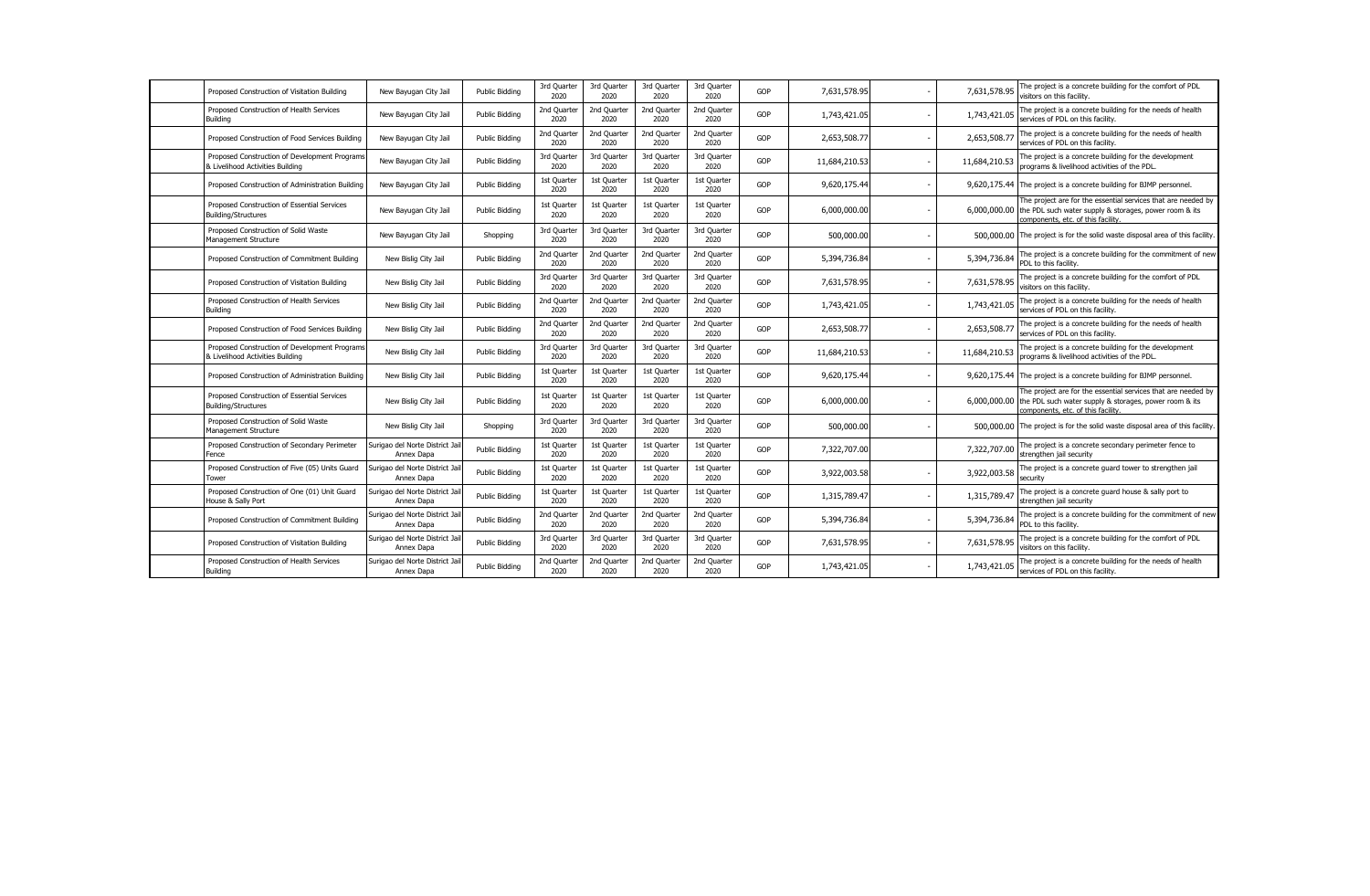| Proposed Construction of Visitation Building                                      | New Bayugan City Jail                         | <b>Public Bidding</b> | 3rd Quarter<br>2020 | 3rd Quarter<br>2020 | 3rd Quarter<br>2020 | 3rd Quarter<br>2020 | GOP | 7,631,578.95  |                          | 7,631,578.95  | The project is a concrete building for the comfort of PDL<br>visitors on this facility.                                                                                    |
|-----------------------------------------------------------------------------------|-----------------------------------------------|-----------------------|---------------------|---------------------|---------------------|---------------------|-----|---------------|--------------------------|---------------|----------------------------------------------------------------------------------------------------------------------------------------------------------------------------|
| Proposed Construction of Health Services<br><b>Building</b>                       | New Bayugan City Jail                         | <b>Public Bidding</b> | 2nd Quarter<br>2020 | 2nd Quarter<br>2020 | 2nd Quarter<br>2020 | 2nd Quarter<br>2020 | GOP | 1,743,421.05  |                          | 1,743,421.05  | The project is a concrete building for the needs of health<br>services of PDL on this facility.                                                                            |
| Proposed Construction of Food Services Building                                   | New Bayugan City Jail                         | Public Bidding        | 2nd Quarter<br>2020 | 2nd Quarter<br>2020 | 2nd Quarter<br>2020 | 2nd Quarter<br>2020 | GOP | 2,653,508.77  | $\overline{\phantom{a}}$ | 2,653,508.77  | The project is a concrete building for the needs of health<br>services of PDL on this facility.                                                                            |
| Proposed Construction of Development Programs<br>& Livelihood Activities Building | New Bayugan City Jail                         | Public Bidding        | 3rd Quarter<br>2020 | 3rd Quarter<br>2020 | 3rd Quarter<br>2020 | 3rd Quarter<br>2020 | GOP | 11,684,210.53 | $\overline{\phantom{a}}$ | 11,684,210.53 | The project is a concrete building for the development<br>programs & livelihood activities of the PDL.                                                                     |
| Proposed Construction of Administration Building                                  | New Bayugan City Jail                         | Public Bidding        | 1st Quarter<br>2020 | 1st Quarter<br>2020 | 1st Quarter<br>2020 | 1st Quarter<br>2020 | GOP | 9,620,175.44  | $\overline{\phantom{a}}$ |               | 9,620,175.44 The project is a concrete building for BJMP personnel.                                                                                                        |
| Proposed Construction of Essential Services<br><b>Building/Structures</b>         | New Bayugan City Jail                         | <b>Public Bidding</b> | 1st Quarter<br>2020 | 1st Quarter<br>2020 | 1st Quarter<br>2020 | 1st Quarter<br>2020 | GOP | 6,000,000.00  | $\overline{\phantom{a}}$ | 6,000,000.00  | The project are for the essential services that are needed by<br>the PDL such water supply & storages, power room & its<br>components, etc. of this facility.              |
| Proposed Construction of Solid Waste<br>Management Structure                      | New Bayugan City Jail                         | Shopping              | 3rd Quarter<br>2020 | 3rd Quarter<br>2020 | 3rd Quarter<br>2020 | 3rd Quarter<br>2020 | GOP | 500,000.00    |                          |               | 500,000,00 The project is for the solid waste disposal area of this facility.                                                                                              |
| Proposed Construction of Commitment Building                                      | New Bislig City Jail                          | <b>Public Bidding</b> | 2nd Quarter<br>2020 | 2nd Quarte<br>2020  | 2nd Quarter<br>2020 | 2nd Quarter<br>2020 | GOP | 5,394,736.84  |                          | 5,394,736.84  | The project is a concrete building for the commitment of new<br>PDL to this facility.                                                                                      |
| Proposed Construction of Visitation Building                                      | New Bislig City Jail                          | <b>Public Bidding</b> | 3rd Quarter<br>2020 | 3rd Quarter<br>2020 | 3rd Quarter<br>2020 | 3rd Quarter<br>2020 | GOP | 7,631,578.95  |                          | 7,631,578.95  | The project is a concrete building for the comfort of PDL<br>visitors on this facility.                                                                                    |
| Proposed Construction of Health Services<br><b>Building</b>                       | New Bislig City Jail                          | <b>Public Bidding</b> | 2nd Quarter<br>2020 | 2nd Quarter<br>2020 | 2nd Quarter<br>2020 | 2nd Quarter<br>2020 | GOP | 1,743,421.05  |                          | 1,743,421.05  | The project is a concrete building for the needs of health<br>services of PDL on this facility.                                                                            |
| Proposed Construction of Food Services Building                                   | New Bislig City Jail                          | <b>Public Bidding</b> | 2nd Quarter<br>2020 | 2nd Quarter<br>2020 | 2nd Quarter<br>2020 | 2nd Quarter<br>2020 | GOP | 2,653,508.77  | $\overline{\phantom{a}}$ | 2,653,508.7   | The project is a concrete building for the needs of health<br>services of PDL on this facility.                                                                            |
| Proposed Construction of Development Programs<br>& Livelihood Activities Building | New Bislig City Jail                          | <b>Public Bidding</b> | 3rd Quarter<br>2020 | 3rd Quarter<br>2020 | 3rd Quarter<br>2020 | 3rd Quarter<br>2020 | GOP | 11,684,210.53 |                          | 11,684,210.53 | The project is a concrete building for the development<br>programs & livelihood activities of the PDL.                                                                     |
| Proposed Construction of Administration Building                                  | New Bislig City Jail                          | <b>Public Bidding</b> | 1st Quarter<br>2020 | 1st Quarter<br>2020 | 1st Quarter<br>2020 | 1st Quarter<br>2020 | GOP | 9,620,175.44  |                          |               | 9,620,175.44 The project is a concrete building for BJMP personnel.                                                                                                        |
| Proposed Construction of Essential Services<br><b>Building/Structures</b>         | New Bislig City Jail                          | <b>Public Bidding</b> | 1st Quarter<br>2020 | 1st Quarter<br>2020 | 1st Quarter<br>2020 | 1st Quarter<br>2020 | GOP | 6,000,000.00  |                          |               | The project are for the essential services that are needed by<br>6,000,000.00 the PDL such water supply & storages, power room & its<br>components, etc. of this facility. |
| Proposed Construction of Solid Waste<br>Management Structure                      | New Bislig City Jail                          | Shopping              | 3rd Quarter<br>2020 | 3rd Quarter<br>2020 | 3rd Quarter<br>2020 | 3rd Quarter<br>2020 | GOP | 500,000.00    |                          |               | 500,000.00 The project is for the solid waste disposal area of this facility.                                                                                              |
| Proposed Construction of Secondary Perimeter<br>Fence                             | Surigao del Norte District Jail<br>Annex Dapa | <b>Public Bidding</b> | 1st Quarter<br>2020 | 1st Quarter<br>2020 | 1st Quarter<br>2020 | 1st Quarter<br>2020 | GOP | 7,322,707.00  |                          | 7,322,707.00  | The project is a concrete secondary perimeter fence to<br>strengthen jail security                                                                                         |
| Proposed Construction of Five (05) Units Guard<br>Tower                           | Surigao del Norte District Jail<br>Annex Dapa | <b>Public Bidding</b> | 1st Quarter<br>2020 | 1st Quarter<br>2020 | 1st Quarter<br>2020 | 1st Quarter<br>2020 | GOP | 3,922,003.58  |                          | 3,922,003.58  | The project is a concrete quard tower to strengthen jail<br>security                                                                                                       |
| Proposed Construction of One (01) Unit Guard<br>House & Sally Port                | Surigao del Norte District Jail<br>Annex Dapa | <b>Public Bidding</b> | 1st Quarter<br>2020 | 1st Quarter<br>2020 | 1st Quarter<br>2020 | 1st Quarter<br>2020 | GOP | 1,315,789.47  |                          | 1,315,789.47  | The project is a concrete guard house & sally port to<br>strengthen jail security                                                                                          |
| Proposed Construction of Commitment Building                                      | Surigao del Norte District Jail<br>Annex Dapa | <b>Public Bidding</b> | 2nd Quarter<br>2020 | 2nd Quarte<br>2020  | 2nd Quarter<br>2020 | 2nd Quarter<br>2020 | GOP | 5,394,736.84  |                          | 5,394,736.84  | The project is a concrete building for the commitment of new<br>PDL to this facility.                                                                                      |
| Proposed Construction of Visitation Building                                      | Surigao del Norte District Jail<br>Annex Dapa | <b>Public Bidding</b> | 3rd Quarter<br>2020 | 3rd Quarter<br>2020 | 3rd Quarter<br>2020 | 3rd Quarter<br>2020 | GOP | 7,631,578.95  |                          | 7,631,578.95  | The project is a concrete building for the comfort of PDL<br>visitors on this facility.                                                                                    |
| Proposed Construction of Health Services<br><b>Building</b>                       | Surigao del Norte District Jail<br>Annex Dapa | <b>Public Bidding</b> | 2nd Quarter<br>2020 | 2nd Quarter<br>2020 | 2nd Quarter<br>2020 | 2nd Quarter<br>2020 | GOP | 1,743,421.05  |                          | 1,743,421.05  | The project is a concrete building for the needs of health<br>services of PDL on this facility.                                                                            |